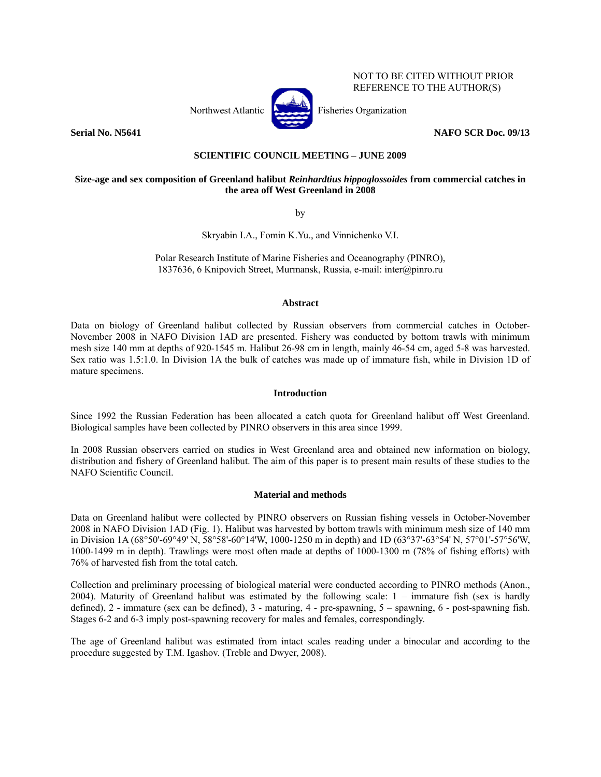

NOT TO BE CITED WITHOUT PRIOR REFERENCE TO THE AUTHOR(S)

## **Serial No. N5641** NAFO SCR Doc. 09/13

# **SCIENTIFIC COUNCIL MEETING – JUNE 2009**

# **Size-age and sex composition of Greenland halibut** *Reinhardtius hippoglossoides* **from commercial catches in the area off West Greenland in 2008**

by

Skryabin I.A., Fomin K.Yu., and Vinnichenko V.I.

Polar Research Institute of Marine Fisheries and Oceanography (PINRO), 1837636, 6 Knipovich Street, Murmansk, Russia, e-mail: inter@pinro.ru

### **Abstract**

Data on biology of Greenland halibut collected by Russian observers from commercial catches in October-November 2008 in NAFO Division 1AD are presented. Fishery was conducted by bottom trawls with minimum mesh size 140 mm at depths of 920-1545 m. Halibut 26-98 cm in length, mainly 46-54 cm, aged 5-8 was harvested. Sex ratio was 1.5:1.0. In Division 1A the bulk of catches was made up of immature fish, while in Division 1D of mature specimens.

## **Introduction**

Since 1992 the Russian Federation has been allocated a catch quota for Greenland halibut off West Greenland. Biological samples have been collected by PINRO observers in this area since 1999.

In 2008 Russian observers carried on studies in West Greenland area and obtained new information on biology, distribution and fishery of Greenland halibut. The aim of this paper is to present main results of these studies to the NAFO Scientific Council.

### **Material and methods**

Data on Greenland halibut were collected by PINRO observers on Russian fishing vessels in October-November 2008 in NAFO Division 1AD (Fig. 1). Halibut was harvested by bottom trawls with minimum mesh size of 140 mm in Division 1A (68°50'-69°49' N, 58°58'-60°14'W, 1000-1250 m in depth) and 1D (63°37'-63°54' N, 57°01'-57°56'W, 1000-1499 m in depth). Trawlings were most often made at depths of 1000-1300 m (78% of fishing efforts) with 76% of harvested fish from the total catch.

Collection and preliminary processing of biological material were conducted according to PINRO methods (Anon., 2004). Maturity of Greenland halibut was estimated by the following scale: 1 – immature fish (sex is hardly defined), 2 - immature (sex can be defined), 3 - maturing, 4 - pre-spawning, 5 – spawning, 6 - post-spawning fish. Stages 6-2 and 6-3 imply post-spawning recovery for males and females, correspondingly.

The age of Greenland halibut was estimated from intact scales reading under a binocular and according to the procedure suggested by T.M. Igashov. (Treble and Dwyer, 2008).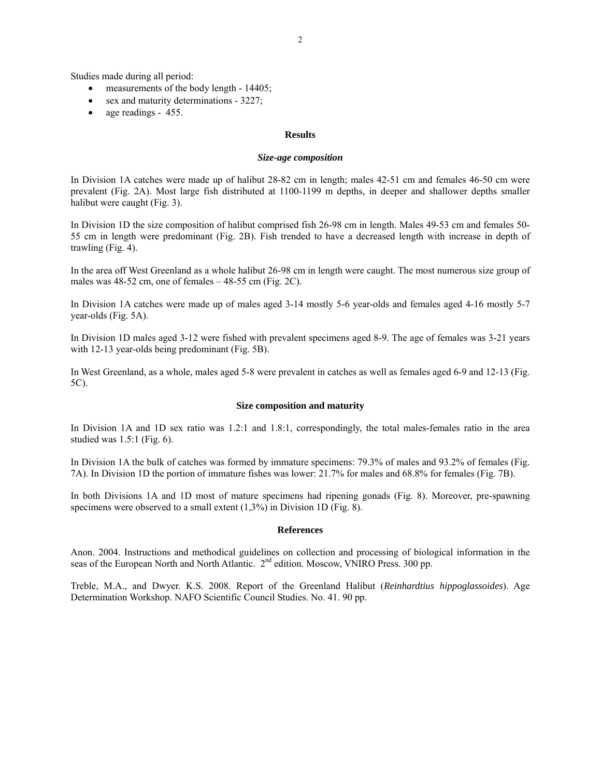Studies made during all period:

- measurements of the body length 14405;
- sex and maturity determinations 3227;
- age readings 455.

## **Results**

### *Size-age composition*

In Division 1A catches were made up of halibut 28-82 cm in length; males 42-51 cm and females 46-50 cm were prevalent (Fig. 2A). Most large fish distributed at 1100-1199 m depths, in deeper and shallower depths smaller halibut were caught (Fig. 3).

In Division 1D the size composition of halibut comprised fish 26-98 cm in length. Males 49-53 cm and females 50- 55 cm in length were predominant (Fig. 2B). Fish trended to have a decreased length with increase in depth of trawling (Fig. 4).

In the area off West Greenland as a whole halibut 26-98 cm in length were caught. The most numerous size group of males was  $48-52$  cm, one of females  $-48-55$  cm (Fig. 2C).

In Division 1A catches were made up of males aged 3-14 mostly 5-6 year-olds and females aged 4-16 mostly 5-7 year-olds (Fig. 5A).

In Division 1D males aged 3-12 were fished with prevalent specimens aged 8-9. The age of females was 3-21 years with 12-13 year-olds being predominant (Fig. 5B).

In West Greenland, as a whole, males aged 5-8 were prevalent in catches as well as females aged 6-9 and 12-13 (Fig. 5C).

### **Size composition and maturity**

In Division 1A and 1D sex ratio was 1.2:1 and 1.8:1, correspondingly, the total males-females ratio in the area studied was 1.5:1 (Fig. 6).

In Division 1A the bulk of catches was formed by immature specimens: 79.3% of males and 93.2% of females (Fig. 7A). In Division 1D the portion of immature fishes was lower: 21.7% for males and 68.8% for females (Fig. 7B).

In both Divisions 1A and 1D most of mature specimens had ripening gonads (Fig. 8). Moreover, pre-spawning specimens were observed to a small extent (1,3%) in Division 1D (Fig. 8).

### **References**

Anon. 2004. Instructions and methodical guidelines on collection and processing of biological information in the seas of the European North and North Atlantic.  $2^{nd}$  edition. Moscow, VNIRO Press. 300 pp.

Treble, M.A., and Dwyer. K.S. 2008. Report of the Greenland Halibut (*Reinhardtius hippoglassoides*). Age Determination Workshop. NAFO Scientific Council Studies. No. 41. 90 pp.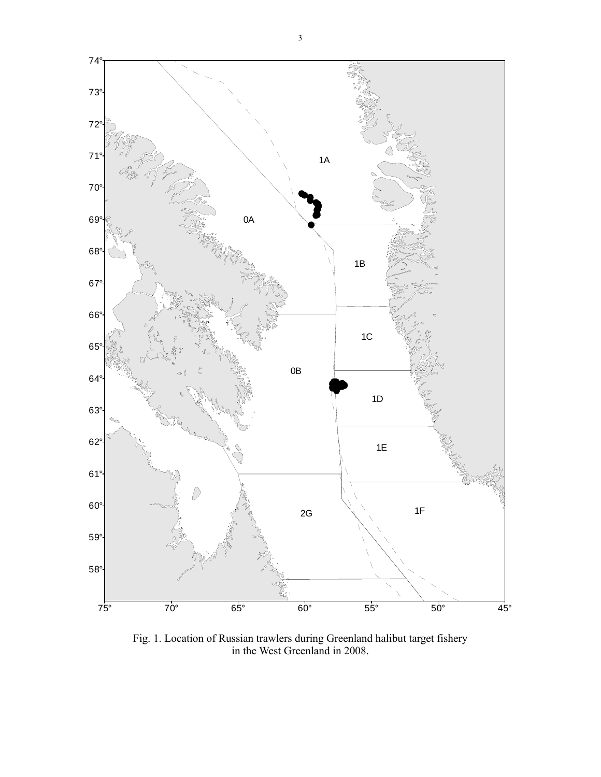

Fig. 1. Location of Russian trawlers during Greenland halibut target fishery in the West Greenland in 2008.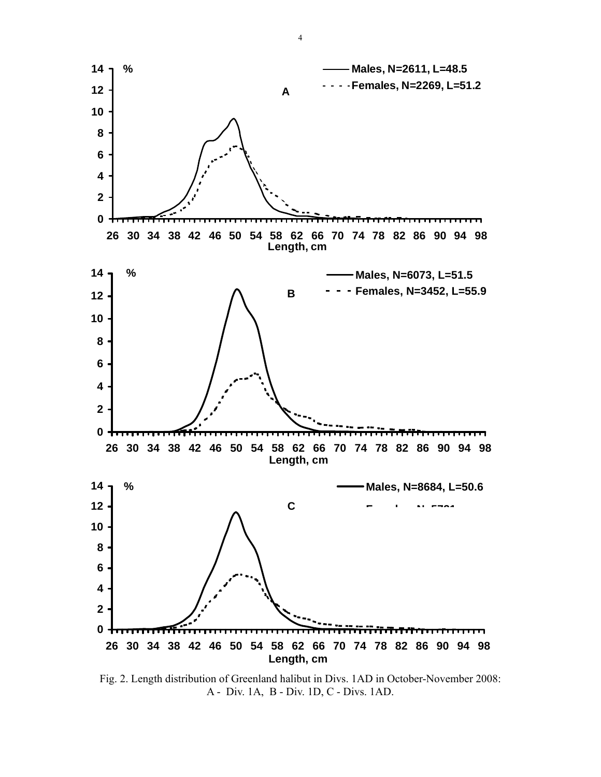

Fig. 2. Length distribution of Greenland halibut in Divs. 1AD in October-November 2008: A - Div. 1A, B - Div. 1D, C - Divs. 1AD.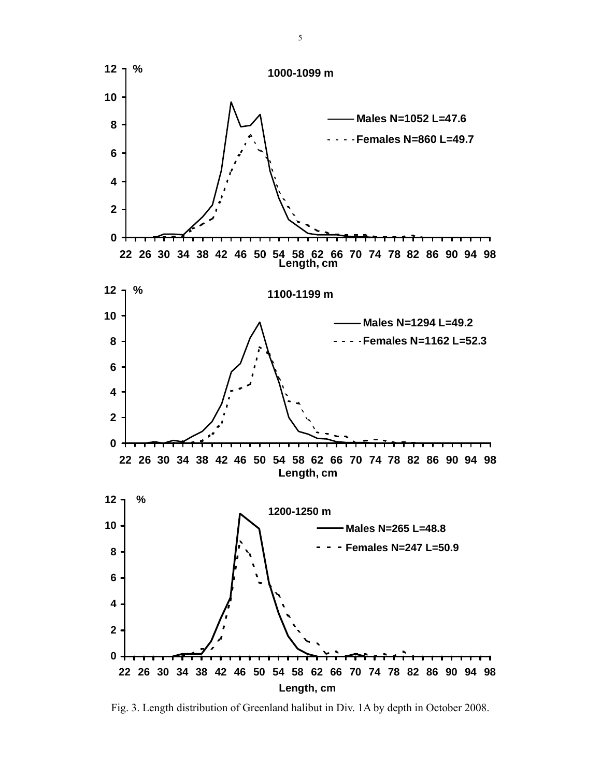

Fig. 3. Length distribution of Greenland halibut in Div. 1A by depth in October 2008.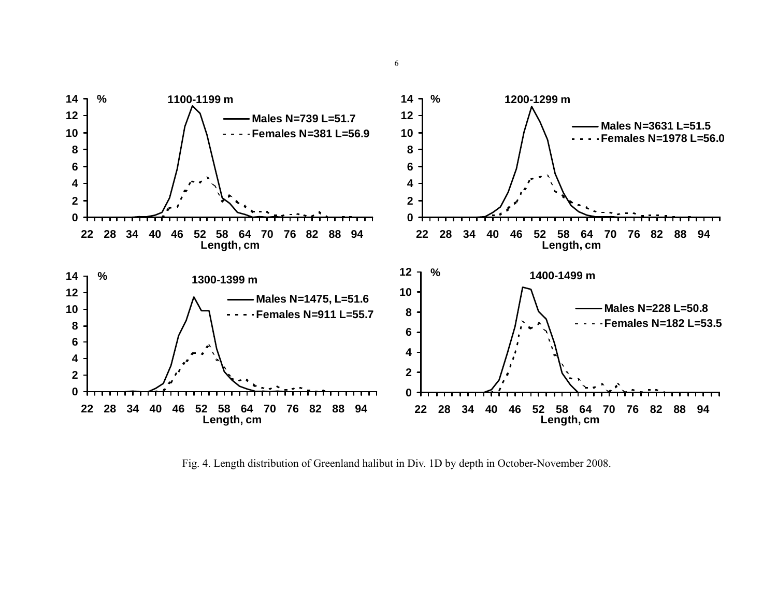

Fig. 4. Length distribution of Greenland halibut in Div. 1D by depth in October-November 2008.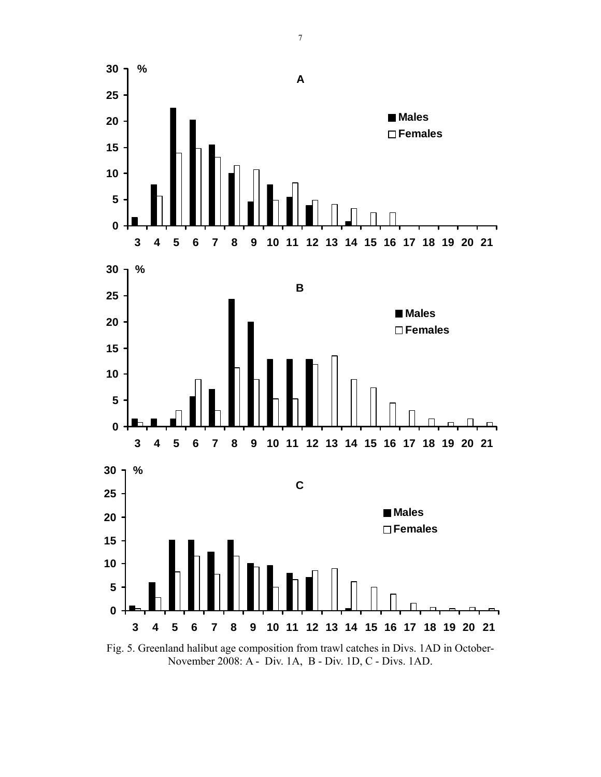

Fig. 5. Greenland halibut age composition from trawl catches in Divs. 1AD in October-November 2008: A - Div. 1A, B - Div. 1D, C - Divs. 1AD.

7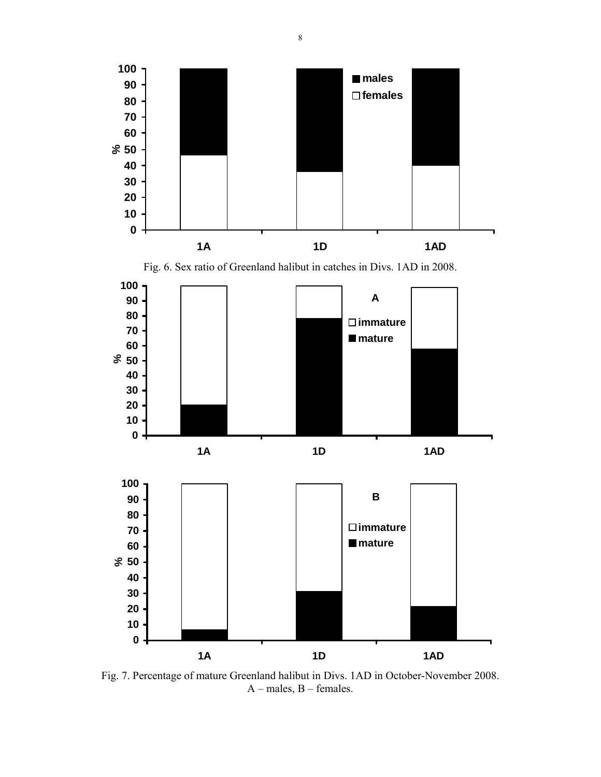

Fig. 7. Percentage of mature Greenland halibut in Divs. 1AD in October-November 2008. А – males, В – females.